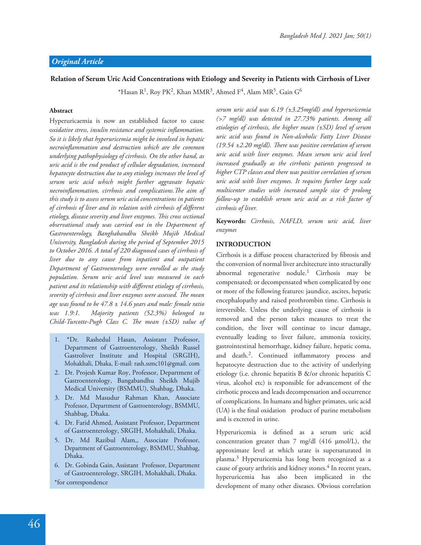## **Relation of Serum Uric Acid Concentrations with Etiology and Severity in Patients with Cirrhosis of Liver**

 $^*$ Hasan R $^1$ , Roy PK $^2$ , Khan MMR $^3$ , Ahmed F $^4$ , Alam MR $^5$ , Gain G $^6$ 

#### **Abstract**

Hyperuricaemia is now an established factor to cause o*xidative stress, insulin resistance and systemic in!ammation. So it is likely that hyperuricemia might be involved in hepatic necroin!ammation and destruction which are the common underlying pathophysiology of cirrhosis. On the other hand, as uric acid is the end product of cellular degradation, increased hepatocyte destruction due to any etiology increases the level of serum uric acid which might further aggravate hepatic necroinflammation, cirrhosis and complications. The aim of this study is to assess serum uric acid concentrations in patients*  of cirrhosis of liver and its relation with cirrhosis of different *etiology, disease severity and liver enzymes. "is cross sectional observational study was carried out in the Department of Gastroenterology, Banghabandhu Sheikh Mujib Medical University, Bangladesh during the period of September 2015 to October 2016. A total of 220 diagnosed cases of cirrhosis of liver due to any cause from inpatient and outpatient Department of Gastroenterology were enrolled as the study population. Serum uric acid level was measured in each*  patient and its relationship with different etiology of cirrhosis, severity of cirrhosis and liver enzymes were assessed. The mean *age was found to be 47.8 ± 14.6 years and male: female ratio was 1.9:1. Majority patients (52.3%) belonged to Child-Turcotte-Pugh Class C. The mean (±SD) value of* 

- 1. \*Dr. Rashedul Hasan, Assistant Professor, Department of Gastroenterology, Sheikh Russel Gastroliver Institute and Hospital (SRGIH), Mohakhali, Dhaka, E-mail: rash.ssmc101@gmail. com
- 2. Dr. Projesh Kumar Roy, Professor, Department of Gastroenterology, Bangabandhu Sheikh Mujib Medical University (BSMMU), Shahbag, Dhaka.
- 3. Dr. Md Masudur Rahman Khan, Associate Professor, Department of Gastroenterology, BSMMU, Shahbag, Dhaka.
- 4. Dr. Farid Ahmed, Assistant Professor, Department of Gastroenterology, SRGIH, Mohakhali, Dhaka.
- 5. Dr. Md Razibul Alam,, Associate Professor, Department of Gastroenterology, BSMMU, Shahbag, Dhaka.
- 6. Dr. Gobinda Gain, Assistant Professor, Department of Gastroenterology, SRGIH, Mohakhali, Dhaka. \*for correspondence

*serum uric acid was 6.19 (±3.25mg/dl) and hyperuricemia (>7 mg/dl) was detected in 27.73% patients. Among all etiologies of cirrhosis, the higher mean (±SD) level of serum uric acid was found in Non-alcoholic Fatty Liver Disease (19.54 ±2.20 mg/dl). There was positive correlation of serum uric acid with liver enzymes. Mean serum uric acid level increased gradually as the cirrhotic patients progressed to higher CTP classes and there was positive correlation of serum uric acid with liver enzymes. It requires further large scale multicenter studies with increased sample size & prolong follow-up to establish serum uric acid as a risk factor of cirrhosis of liver.*

**Keywords:** *Cirrhosis, NAFLD, serum uric acid, liver enzymes*

#### **INTRODUCTION**

Cirrhosis is a diffuse process characterized by fibrosis and the conversion of normal liver architecture into structurally abnormal regenerative nodule.<sup>1</sup> Cirrhosis may be compensated; or decompensated when complicated by one or more of the following features: jaundice, ascites, hepatic encephalopathy and raised prothrombin time. Cirrhosis is irreversible. Unless the underlying cause of cirrhosis is removed and the person takes measures to treat the condition, the liver will continue to incur damage, eventually leading to liver failure, ammonia toxicity, gastrointestinal hemorrhage, kidney failure, hepatic coma, and death.<sup>2</sup>. Continued inflammatory process and hepatocyte destruction due to the activity of underlying etiology (i.e. chronic hepatitis B &/or chronic hepatitis C virus, alcohol etc) is responsible for advancement of the cirrhotic process and leads decompensation and occurrence of complications. In humans and higher primates, uric acid (UA) is the final oxidation product of purine metabolism and is excreted in urine.

Hyperuricemia is defined as a serum uric acid concentration greater than 7 mg/dl (416 μmol/L), the approximate level at which urate is supersaturated in plasma.<sup>3</sup> Hyperuricemia has long been recognized as a cause of gouty arthritis and kidney stones.<sup>4</sup> In recent years, hyperuricemia has also been implicated in the development of many other diseases. Obvious correlation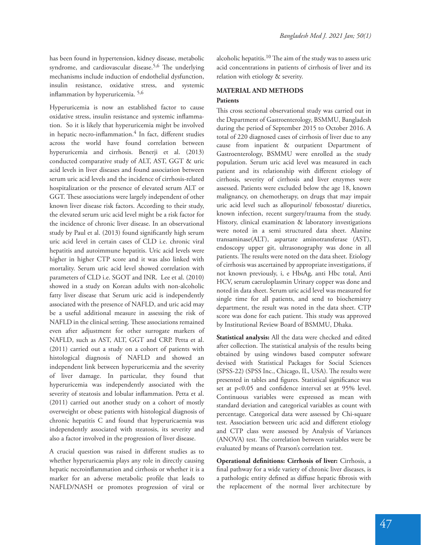has been found in hypertension, kidney disease, metabolic syndrome, and cardiovascular disease.<sup>5,6</sup> The underlying mechanisms include induction of endothelial dysfunction, insulin resistance, oxidative stress, and systemic inflammation by hyperuricemia. <sup>5,6</sup>

Hyperuricemia is now an established factor to cause oxidative stress, insulin resistance and systemic inflammation. So it is likely that hyperuricemia might be involved in hepatic necro-inflammation.<sup>4</sup> In fact, different studies across the world have found correlation between hyperuricemia and cirrhosis. Benerji et al. (2013) conducted comparative study of ALT, AST, GGT & uric acid levels in liver diseases and found association between serum uric acid levels and the incidence of cirrhosis-related hospitalization or the presence of elevated serum ALT or GGT. These associations were largely independent of other known liver disease risk factors. According to their study, the elevated serum uric acid level might be a risk factor for the incidence of chronic liver disease. In an observational study by Paul et al. (2013) found significantly high serum uric acid level in certain cases of CLD i.e. chronic viral hepatitis and autoimmune hepatitis. Uric acid levels were higher in higher CTP score and it was also linked with mortality. Serum uric acid level showed correlation with parameters of CLD i.e. SGOT and INR. Lee et al. (2010) showed in a study on Korean adults with non-alcoholic fatty liver disease that Serum uric acid is independently associated with the presence of NAFLD, and uric acid may be a useful additional measure in assessing the risk of NAFLD in the clinical setting. These associations remained even after adjustment for other surrogate markers of NAFLD, such as AST, ALT, GGT and CRP. Petta et al. (2011) carried out a study on a cohort of patients with histological diagnosis of NAFLD and showed an independent link between hyperuricemia and the severity of liver damage. In particular, they found that hyperuricemia was independently associated with the severity of steatosis and lobular inflammation. Petta et al. (2011) carried out another study on a cohort of mostly overweight or obese patients with histological diagnosis of chronic hepatitis C and found that hyperuricaemia was independently associated with steatosis, its severity and also a factor involved in the progression of liver disease.

A crucial question was raised in different studies as to whether hyperuricaemia plays any role in directly causing hepatic necroinflammation and cirrhosis or whether it is a marker for an adverse metabolic profile that leads to NAFLD/NASH or promotes progression of viral or

alcoholic hepatitis.<sup>10</sup> The aim of the study was to assess uric acid concentrations in patients of cirrhosis of liver and its relation with etiology & severity.

# **MATERIAL AND METHODS**

# **Patients**

This cross sectional observational study was carried out in the Department of Gastroenterology, BSMMU, Bangladesh during the period of September 2015 to October 2016. A total of 220 diagnosed cases of cirrhosis of liver due to any cause from inpatient & outpatient Department of Gastroenterology, BSMMU were enrolled as the study population. Serum uric acid level was measured in each patient and its relationship with different etiology of cirrhosis, severity of cirrhosis and liver enzymes were assessed. Patients were excluded below the age 18, known malignancy, on chemotherapy, on drugs that may impair uric acid level such as allopurinol/ feboxostat/ diuretics, known infection, recent surgery/trauma from the study. History, clinical examination & laboratory investigations were noted in a semi structured data sheet. Alanine transaminase(ALT), aspartate aminotransferase (AST), endoscopy upper git, ultrasonography was done in all patients. The results were noted on the data sheet. Etiology of cirrhosis was ascertained by appropriate investigations, if not known previously, i, e HbsAg, anti Hbc total, Anti HCV, serum caeruloplasmin Urinary copper was done and noted in data sheet. Serum uric acid level was measured for single time for all patients, and send to biochemistry department, the result was noted in the data sheet. CTP score was done for each patient. This study was approved by Institutional Review Board of BSMMU, Dhaka.

**Statistical analysis:** All the data were checked and edited after collection. The statistical analysis of the results being obtained by using windows based computer software devised with Statistical Packages for Social Sciences (SPSS-22) (SPSS Inc., Chicago, IL, USA). The results were presented in tables and figures. Statistical significance was set at p<0.05 and confidence interval set at 95% level. Continuous variables were expressed as mean with standard deviation and categorical variables as count with percentage. Categorical data were assessed by Chi-square test. Association between uric acid and different etiology and CTP class were assessed by Analysis of Variances (ANOVA) test. The correlation between variables were be evaluated by means of Pearson's correlation test.

**Operational definitions: Cirrhosis of liver:** Cirrhosis, a final pathway for a wide variety of chronic liver diseases, is a pathologic entity defined as diffuse hepatic fibrosis with the replacement of the normal liver architecture by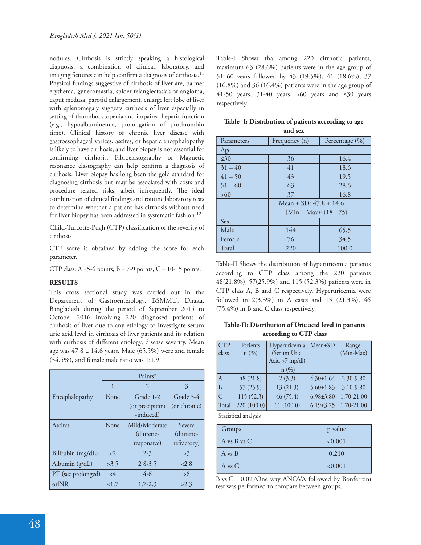nodules. Cirrhosis is strictly speaking a histological diagnosis, a combination of clinical, laboratory, and imaging features can help confirm a diagnosis of cirrhosis.<sup>11</sup> Physical findings suggestive of cirrhosis of liver are, palmer erythema, gynecomastia, spider telangiectasia's or angioma, caput medusa, parotid enlargement, enlarge left lobe of liver with splenomegaly suggests cirrhosis of liver especially in setting of thrombocytopenia and impaired hepatic function (e.g., hypoalbuminemia, prolongation of prothrombin time). Clinical history of chronic liver disease with gastroesophageal varices, ascites, or hepatic encephalopathy is likely to have cirrhosis, and liver biopsy is not essential for confirming cirrhosis. Fibroelastography or Magnetic resonance elastography can help confirm a diagnosis of cirrhosis. Liver biopsy has long been the gold standard for diagnosing cirrhosis but may be associated with costs and procedure related risks, albeit infrequently. The ideal combination of clinical findings and routine laboratory tests to determine whether a patient has cirrhosis without need for liver biopsy has been addressed in systematic fashion  $^{12}$  .

Child-Turcotte-Pugh (CTP) classification of the severity of cirrhosis

CTP score is obtained by adding the score for each parameter.

CTP class:  $A = 5-6$  points,  $B = 7-9$  points,  $C = 10-15$  points.

## **RESULTS**

This cross sectional study was carried out in the Department of Gastroenterology, BSMMU, Dhaka, Bangladesh during the period of September 2015 to October 2016 involving 220 diagnosed patients of cirrhosis of liver due to any etiology to investigate serum uric acid level in cirrhosis of liver patients and its relation with cirrhosis of different etiology, disease severity. Mean age was  $47.8 \pm 14.6$  years. Male (65.5%) were and female (34.5%), and female male ratio was 1:1.9

|                    | Points*  |                                            |                                     |
|--------------------|----------|--------------------------------------------|-------------------------------------|
|                    | 1        | 2                                          | 3                                   |
| Encephalopathy     | None     | Grade 1-2<br>(or precipitant<br>-induced)  | Grade 3-4<br>(or chronic)           |
| Ascites            | None     | Mild/Moderate<br>(diuretic-<br>responsive) | Severe<br>(diuretic-<br>refractory) |
| Bilirubin (mg/dL)  | $<$ 2    | $2 - 3$                                    | >3                                  |
| Albumin $(g/dL)$   | >35      | $28-35$                                    | 28                                  |
| PT (sec prolonged) | $\leq 4$ | $4-6$                                      | > 6                                 |
| orlNR              | 1.7      | $1.7 - 2.3$                                | >2.3                                |

Table-I Shows tha among 220 cirrhotic patients, maximum 63 (28.6%) patients were in the age group of 51–60 years followed by 43 (19.5%), 41 (18.6%), 37 (16.8%) and 36 (16.4%) patients were in the age group of 41-50 years, 31-40 years, >60 years and ≤30 years respectively.

| Table -I: Distribution of patients according to age |
|-----------------------------------------------------|
| and sex                                             |

| Parameters | Frequency (n)                  | Percentage (%) |  |  |  |
|------------|--------------------------------|----------------|--|--|--|
| Age        |                                |                |  |  |  |
| $\leq 30$  | 36                             | 16.4           |  |  |  |
| $31 - 40$  | 41                             | 18.6           |  |  |  |
| $41 - 50$  | 43                             | 19.5           |  |  |  |
| $51 - 60$  | 63                             | 28.6           |  |  |  |
| >60        | 37                             | 16.8           |  |  |  |
|            | Mean $\pm$ SD: 47.8 $\pm$ 14.6 |                |  |  |  |
|            | $(Min - Max): (18 - 75)$       |                |  |  |  |
| Sex        |                                |                |  |  |  |
| Male       | 144                            | 65.5           |  |  |  |
| Female     | 76                             | 34.5           |  |  |  |
| Total      | 220                            | 100.0          |  |  |  |

Table-II Shows the distribution of hyperuricemia patients according to CTP class among the 220 patients 48(21.8%), 57(25.9%) and 115 (52.3%) patients were in CTP class A, B and C respectively. Hyperuricemia were followed in 2(3.3%) in A cases and 13 (21.3%), 46 (75.4%) in B and C class respectively.

**Table-II: Distribution of Uric acid level in patients according to CTP class**

| <b>CTP</b><br>class | Patients<br>n(%) | Hyperuricemia<br>(Serum Uric<br>Acid $>7$ mg/dl)<br>n(%) | Mean±SD         | Range<br>(Min-Max) |
|---------------------|------------------|----------------------------------------------------------|-----------------|--------------------|
| А                   | 48(21.8)         | 2(3.3)                                                   | $4.30 \pm 1.64$ | 2.30-9.80          |
| B                   | 57(25.9)         | 13(21.3)                                                 | $5.60 \pm 1.83$ | 3.10-9.80          |
| $\overline{C}$      | 115(52.3)        | 46(75.4)                                                 | $6.98 \pm 3.80$ | 1.70-21.00         |
| Total               | 220(100.0)       | 61(100.0)                                                | $6.19{\pm}3.25$ | 1.70-21.00         |

Statistical analysis

| Groups            | p value |
|-------------------|---------|
| A vs $B$ vs $C$   | < 0.001 |
| $A \text{ vs } B$ | 0.210   |
| $A$ vs $C$        | < 0.001 |

B vs C 0.027One way ANOVA followed by Bonferroni test was performed to compare between groups.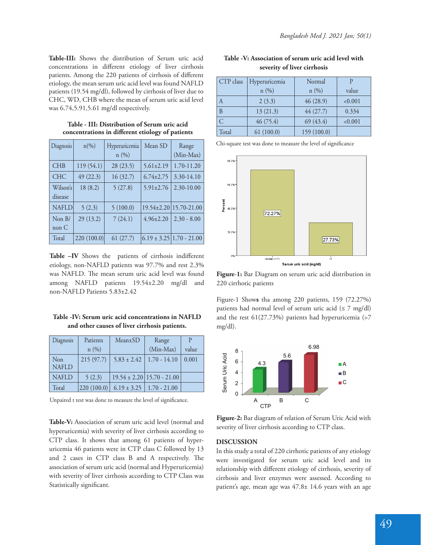**Table-III:** Shows the distribution of Serum uric acid concentrations in different etiology of liver cirrhosis patients. Among the 220 patients of cirrhosis of different etiology, the mean serum uric acid level was found NAFLD patients (19.54 mg/dl), followed by cirrhosis of liver due to CHC, WD, CHB where the mean of serum uric acid level was 6.74,5.91,5.61 mg/dl respectively.

| Diagnosis           | $n\left(\frac{0}{0}\right)$ | Hyperuricemia<br>n(%) | Mean SD         | Range<br>(Min-Max)           |
|---------------------|-----------------------------|-----------------------|-----------------|------------------------------|
| <b>CHB</b>          | 119(54.1)                   | 28(23.5)              | $5.61 \pm 2.19$ | 1.70-11.20                   |
| <b>CHC</b>          | 49(22.3)                    | 16(32.7)              | $6.74 \pm 2.75$ | 3.30-14.10                   |
| Wilson's<br>disease | 18(8.2)                     | 5(27.8)               | $5.91 \pm 2.76$ | 2.30-10.00                   |
| <b>NAFLD</b>        | 5(2.3)                      | 5(100.0)              |                 | 19.54±2.20 15.70-21.00       |
| Non $B/$<br>nonC    | 29(13.2)                    | 7(24.1)               | $4.96 \pm 2.20$ | $2.30 - 8.00$                |
| Total               | 220 (100.0)                 | 61(27.7)              |                 | $6.19 \pm 3.25$ 1.70 - 21.00 |

**Table - III: Distribution of Serum uric acid**  concentrations in different etiology of patients

Table -IV Shows the patients of cirrhosis indifferent etiology, non-NAFLD patients was 97.7% and rest 2.3% was NAFLD. The mean serum uric acid level was found among NAFLD patients 19.54±2.20 mg/dl and non-NAFLD Patients 5.83±2.42

| Table -IV: Serum uric acid concentrations in NAFLD |
|----------------------------------------------------|
| and other causes of liver cirrhosis patients.      |

| Diagnosis           | Patients   | Mean±SD         | Range                          | P     |
|---------------------|------------|-----------------|--------------------------------|-------|
|                     | n(%)       |                 | (Min-Max)                      | value |
| Non<br><b>NAFLD</b> | 215 (97.7) | $5.83 \pm 2.42$ | $1.70 - 14.10$                 | 0.001 |
| <b>NAFLD</b>        | 5(2.3)     |                 | $19.54 \pm 2.20$ 15.70 - 21.00 |       |
| Total               | 220(100.0) | $6.19 \pm 3.25$ | $1.70 - 21.00$                 |       |

Unpaired t test was done to measure the level of significance.

**Table-V:** Association of serum uric acid level (normal and hyperuricemia) with severity of liver cirrhosis according to CTP class. It shows that among 61 patients of hyperuricemia 46 patients were in CTP class C followed by 13 and 2 cases in CTP class B and A respectively. The association of serum uric acid (normal and Hyperuricemia) with severity of liver cirrhosis according to CTP Class was Statistically significant.

| Table -V: Association of serum uric acid level with |
|-----------------------------------------------------|
| severity of liver cirrhosis                         |

| CTP class | Hyperuricemia | Normal      |         |
|-----------|---------------|-------------|---------|
|           | n(%)          | n(%)        | value   |
|           | 2(3.3)        | 46(28.9)    | < 0.001 |
| B         | 13(21.3)      | 44 (27.7)   | 0.334   |
|           | 46(75.4)      | 69(43.4)    | < 0.001 |
| Total     | 61(100.0)     | 159 (100.0) |         |

Chi-square test was done to measure the level of significance



**Figure**-**1:** Bar Diagram on serum uric acid distribution in 220 cirrhotic patients

Figure-1 Show**s** tha among 220 patients, 159 (72.27%) patients had normal level of serum uric acid ( $\leq$  7 mg/dl) and the rest 61(27.73%) patients had hyperuricemia (>7 mg/dl).



**Figure**-**2:** Bar diagram of relation of Serum Uric Acid with severity of liver cirrhosis according to CTP class.

### **DISCUSSION**

In this study a total of 220 cirrhotic patients of any etiology were investigated for serum uric acid level and its relationship with different etiology of cirrhosis, severity of cirrhosis and liver enzymes were assessed. According to patient's age, mean age was 47.8± 14.6 years with an age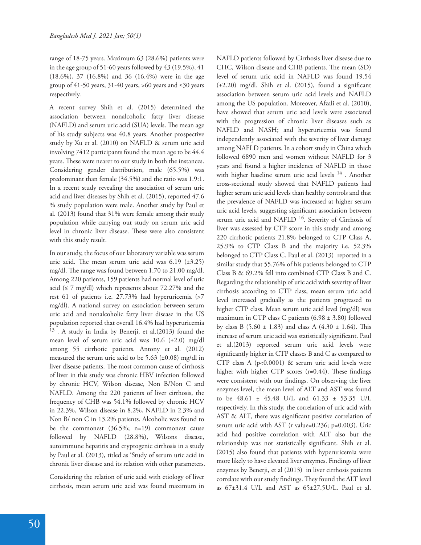range of 18-75 years. Maximum 63 (28.6%) patients were in the age group of 51-60 years followed by 43 (19.5%), 41 (18.6%), 37 (16.8%) and 36 (16.4%) were in the age group of 41-50 years, 31-40 years, >60 years and ≤30 years respectively.

A recent survey Shih et al. (2015) determined the association between nonalcoholic fatty liver disease (NAFLD) and serum uric acid (SUA) levels. The mean age of his study subjects was 40.8 years. Another prospective study by Xu et al. (2010) on NAFLD & serum uric acid involving 7412 participants found the mean age to be 44.4 years. These were nearer to our study in both the instances. Considering gender distribution, male (65.5%) was predominant than female (34.5%) and the ratio was 1.9:1. In a recent study revealing the association of serum uric acid and liver diseases by Shih et al. (2015), reported 47.6 % study population were male. Another study by Paul et al. (2013) found that 31% were female among their study population while carrying out study on serum uric acid level in chronic liver disease. These were also consistent with this study result.

In our study, the focus of our laboratory variable was serum uric acid. The mean serum uric acid was  $6.19$  ( $\pm 3.25$ ) mg/dl. The range was found between  $1.70$  to  $21.00$  mg/dl. Among 220 patients, 159 patients had normal level of uric acid ( $\leq$  7 mg/dl) which represents about 72.27% and the rest 61 of patients i.e. 27.73% had hyperuricemia (>7 mg/dl). A national survey on association between serum uric acid and nonalcoholic fatty liver disease in the US population reported that overall 16.4% had hyperuricemia <sup>13</sup> . A study in India by Benerji, et al.(2013) found the mean level of serum uric acid was 10.6 (±2.0) mg/dl among 55 cirrhotic patients. Antony et al. (2012) measured the serum uric acid to be  $5.63$  ( $\pm 0.08$ ) mg/dl in liver disease patients. The most common cause of cirrhosis of liver in this study was chronic HBV infection followed by chronic HCV, Wilson disease, Non B/Non C and NAFLD. Among the 220 patients of liver cirrhosis, the frequency of CHB was 54.1% followed by chronic HCV in 22.3%, Wilson disease in 8.2%, NAFLD in 2.3% and Non B/ non C in 13.2% patients. Alcoholic was found to be the commonest (36.5%; n=19) commonest cause followed by NAFLD (28.8%), Wilsons disease, autoimmune hepatitis and cryptogenic cirrhosis in a study by Paul et al. (2013), titled as 'Study of serum uric acid in chronic liver disease and its relation with other parameters.

Considering the relation of uric acid with etiology of liver cirrhosis, mean serum uric acid was found maximum in NAFLD patients followed by Cirrhosis liver disease due to CHC, Wilson disease and CHB patients. The mean (SD) level of serum uric acid in NAFLD was found 19.54  $(\pm 2.20)$  mg/dl. Shih et al.  $(2015)$ , found a significant association between serum uric acid levels and NAFLD among the US population. Moreover, Afzali et al. (2010), have showed that serum uric acid levels were associated with the progression of chronic liver diseases such as NAFLD and NASH; and hyperuricemia was found independently associated with the severity of liver damage among NAFLD patients. In a cohort study in China which followed 6890 men and women without NAFLD for 3 years and found a higher incidence of NAFLD in those with higher baseline serum uric acid levels <sup>14</sup>. Another cross-sectional study showed that NAFLD patients had higher serum uric acid levels than healthy controls and that the prevalence of NAFLD was increased at higher serum uric acid levels, suggesting significant association between serum uric acid and NAFLD<sup>16</sup>. Severity of Cirrhosis of liver was assessed by CTP score in this study and among 220 cirrhotic patients 21.8% belonged to CTP Class A, 25.9% to CTP Class B and the majority i.e. 52.3% belonged to CTP Class C. Paul et al. (2013) reported in a similar study that 55.76% of his patients belonged to CTP Class B & 69.2% fell into combined CTP Class B and C. Regarding the relationship of uric acid with severity of liver cirrhosis according to CTP class, mean serum uric acid level increased gradually as the patients progressed to higher CTP class. Mean serum uric acid level (mg/dl) was maximum in CTP class C patients (6.98 ± 3.80) followed by class B (5.60  $\pm$  1.83) and class A (4.30  $\pm$  1.64). This increase of serum uric acid was statistically significant. Paul et al.(2013) reported serum uric acid levels were significantly higher in CTP classes B and C as compared to CTP class A (p<0.0001) & serum uric acid levels were higher with higher CTP scores  $(r=0.44)$ . These findings were consistent with our findings. On observing the liver enzymes level, the mean level of ALT and AST was found to be 48.61 ± 45.48 U/L and 61.33 ± 53.35 U/L respectively. In this study, the correlation of uric acid with AST & ALT, there was significant positive correlation of serum uric acid with AST (r value=0.236; p=0.003). Uric acid had positive correlation with ALT also but the relationship was not statistically significant. Shih et al. (2015) also found that patients with hyperuricemia were more likely to have elevated liver enzymes. Findings of liver enzymes by Benerji, et al (2013) in liver cirrhosis patients correlate with our study findings. They found the ALT level as 67±31.4 U/L and AST as 65±27.5U/L. Paul et al.